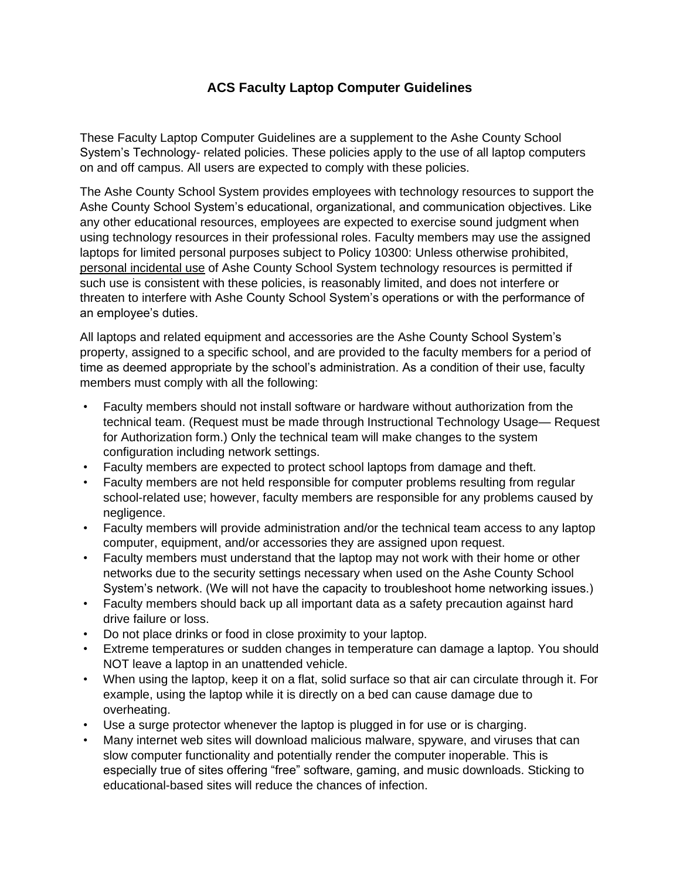## **ACS Faculty Laptop Computer Guidelines**

These Faculty Laptop Computer Guidelines are a supplement to the Ashe County School System's Technology- related policies. These policies apply to the use of all laptop computers on and off campus. All users are expected to comply with these policies.

The Ashe County School System provides employees with technology resources to support the Ashe County School System's educational, organizational, and communication objectives. Like any other educational resources, employees are expected to exercise sound judgment when using technology resources in their professional roles. Faculty members may use the assigned laptops for limited personal purposes subject to Policy 10300: Unless otherwise prohibited, personal incidental use of Ashe County School System technology resources is permitted if such use is consistent with these policies, is reasonably limited, and does not interfere or threaten to interfere with Ashe County School System's operations or with the performance of an employee's duties.

All laptops and related equipment and accessories are the Ashe County School System's property, assigned to a specific school, and are provided to the faculty members for a period of time as deemed appropriate by the school's administration. As a condition of their use, faculty members must comply with all the following:

- Faculty members should not install software or hardware without authorization from the technical team. (Request must be made through Instructional Technology Usage— Request for Authorization form.) Only the technical team will make changes to the system configuration including network settings.
- Faculty members are expected to protect school laptops from damage and theft.
- Faculty members are not held responsible for computer problems resulting from regular school-related use; however, faculty members are responsible for any problems caused by negligence.
- Faculty members will provide administration and/or the technical team access to any laptop computer, equipment, and/or accessories they are assigned upon request.
- Faculty members must understand that the laptop may not work with their home or other networks due to the security settings necessary when used on the Ashe County School System's network. (We will not have the capacity to troubleshoot home networking issues.)
- Faculty members should back up all important data as a safety precaution against hard drive failure or loss.
- Do not place drinks or food in close proximity to your laptop.
- Extreme temperatures or sudden changes in temperature can damage a laptop. You should NOT leave a laptop in an unattended vehicle.
- When using the laptop, keep it on a flat, solid surface so that air can circulate through it. For example, using the laptop while it is directly on a bed can cause damage due to overheating.
- Use a surge protector whenever the laptop is plugged in for use or is charging.
- Many internet web sites will download malicious malware, spyware, and viruses that can slow computer functionality and potentially render the computer inoperable. This is especially true of sites offering "free" software, gaming, and music downloads. Sticking to educational-based sites will reduce the chances of infection.